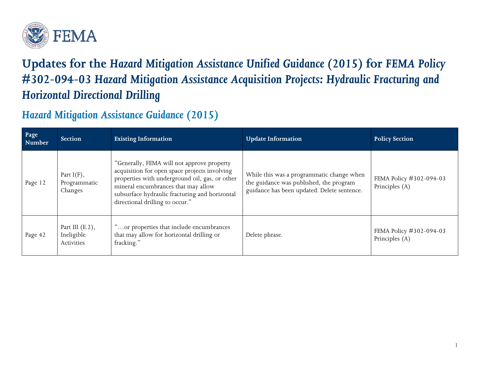

## **Updates for the** *Hazard Mitigation Assistance Unified Guidance (2015)* **for** *FEMA Policy #302-094-03 Hazard Mitigation Assistance Acquisition Projects: Hydraulic Fracturing and Horizontal Directional Drilling*

## *Hazard Mitigation Assistance Guidance (2015)*

| Page<br>Number | <b>Section</b>                                 | <b>Existing Information</b>                                                                                                                                                                                                                                               | <b>Update Information</b>                                                                                                           | <b>Policy Section</b>                     |
|----------------|------------------------------------------------|---------------------------------------------------------------------------------------------------------------------------------------------------------------------------------------------------------------------------------------------------------------------------|-------------------------------------------------------------------------------------------------------------------------------------|-------------------------------------------|
| Page 12        | Part $I(F)$ ,<br>Programmatic<br>Changes       | "Generally, FEMA will not approve property<br>acquisition for open space projects involving<br>properties with underground oil, gas, or other<br>mineral encumbrances that may allow<br>subsurface hydraulic fracturing and horizontal<br>directional drilling to occur." | While this was a programmatic change when<br>the guidance was published, the program<br>guidance has been updated. Delete sentence. | FEMA Policy #302-094-03<br>Principles (A) |
| Page 42        | Part III $(E.2)$ ,<br>Ineligible<br>Activities | or properties that include encumbrances<br>that may allow for horizontal drilling or<br>fracking."                                                                                                                                                                        | Delete phrase.                                                                                                                      | FEMA Policy #302-094-03<br>Principles (A) |